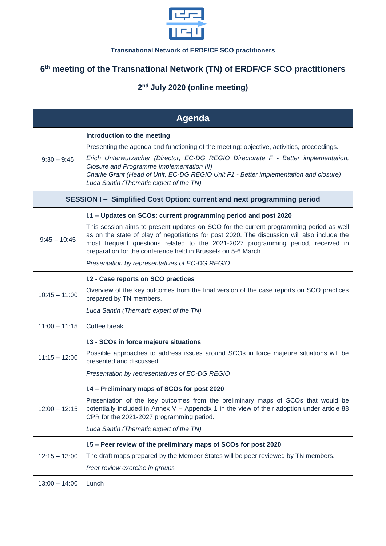

## **Transnational Network of ERDF/CF SCO practitioners**

## **6 th meeting of the Transnational Network (TN) of ERDF/CF SCO practitioners**

## **2 nd July 2020 (online meeting)**

| Agenda                                                                  |                                                                                                                                                                                                                                                                                                                                            |  |
|-------------------------------------------------------------------------|--------------------------------------------------------------------------------------------------------------------------------------------------------------------------------------------------------------------------------------------------------------------------------------------------------------------------------------------|--|
| $9:30 - 9:45$                                                           | Introduction to the meeting                                                                                                                                                                                                                                                                                                                |  |
|                                                                         | Presenting the agenda and functioning of the meeting: objective, activities, proceedings.                                                                                                                                                                                                                                                  |  |
|                                                                         | Erich Unterwurzacher (Director, EC-DG REGIO Directorate F - Better implementation,<br>Closure and Programme Implementation III)<br>Charlie Grant (Head of Unit, EC-DG REGIO Unit F1 - Better implementation and closure)<br>Luca Santin (Thematic expert of the TN)                                                                        |  |
| SESSION I - Simplified Cost Option: current and next programming period |                                                                                                                                                                                                                                                                                                                                            |  |
| $9:45 - 10:45$                                                          | I.1 - Updates on SCOs: current programming period and post 2020                                                                                                                                                                                                                                                                            |  |
|                                                                         | This session aims to present updates on SCO for the current programming period as well<br>as on the state of play of negotiations for post 2020. The discussion will also include the<br>most frequent questions related to the 2021-2027 programming period, received in<br>preparation for the conference held in Brussels on 5-6 March. |  |
|                                                                         | Presentation by representatives of EC-DG REGIO                                                                                                                                                                                                                                                                                             |  |
| $10:45 - 11:00$                                                         | I.2 - Case reports on SCO practices                                                                                                                                                                                                                                                                                                        |  |
|                                                                         | Overview of the key outcomes from the final version of the case reports on SCO practices<br>prepared by TN members.                                                                                                                                                                                                                        |  |
|                                                                         | Luca Santin (Thematic expert of the TN)                                                                                                                                                                                                                                                                                                    |  |
| $11:00 - 11:15$                                                         | Coffee break                                                                                                                                                                                                                                                                                                                               |  |
| $11:15 - 12:00$                                                         | I.3 - SCOs in force majeure situations                                                                                                                                                                                                                                                                                                     |  |
|                                                                         | Possible approaches to address issues around SCOs in force majeure situations will be<br>presented and discussed.                                                                                                                                                                                                                          |  |
|                                                                         | Presentation by representatives of EC-DG REGIO                                                                                                                                                                                                                                                                                             |  |
| $12:00 - 12:15$                                                         | I.4 - Preliminary maps of SCOs for post 2020                                                                                                                                                                                                                                                                                               |  |
|                                                                         | Presentation of the key outcomes from the preliminary maps of SCOs that would be<br>potentially included in Annex V - Appendix 1 in the view of their adoption under article 88<br>CPR for the 2021-2027 programming period.                                                                                                               |  |
|                                                                         | Luca Santin (Thematic expert of the TN)                                                                                                                                                                                                                                                                                                    |  |
| $12:15 - 13:00$                                                         | I.5 - Peer review of the preliminary maps of SCOs for post 2020                                                                                                                                                                                                                                                                            |  |
|                                                                         | The draft maps prepared by the Member States will be peer reviewed by TN members.                                                                                                                                                                                                                                                          |  |
|                                                                         | Peer review exercise in groups                                                                                                                                                                                                                                                                                                             |  |
| $13:00 - 14:00$                                                         | Lunch                                                                                                                                                                                                                                                                                                                                      |  |